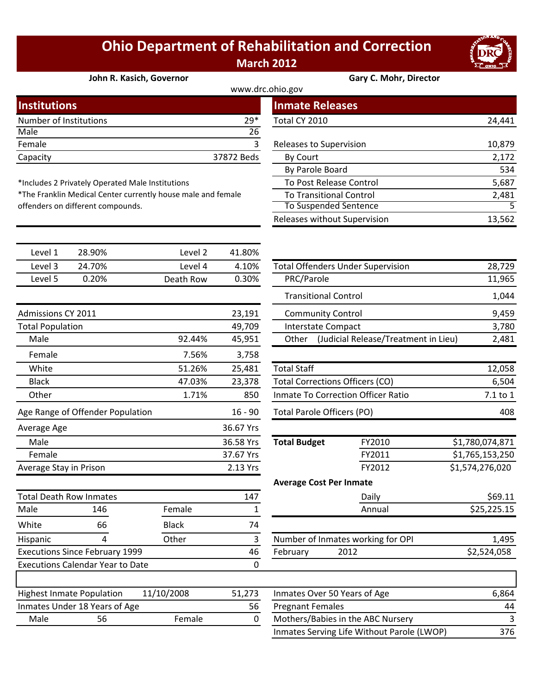## **Ohio Department of Rehabilitation and Correction March 2012**

## **John R. Kasich, Governor Gary C. Mohr, Director**

| www.drc.ohio.gov       |            |                         |        |  |  |
|------------------------|------------|-------------------------|--------|--|--|
| <b>Institutions</b>    |            | <b>Inmate Releases</b>  |        |  |  |
| Number of Institutions | $29*$      | Total CY 2010           | 24,441 |  |  |
| Male                   | 26         |                         |        |  |  |
| Female                 |            | Releases to Supervision | 10,879 |  |  |
| Capacity               | 37872 Beds | By Court                | 2,172  |  |  |
|                        |            |                         |        |  |  |

\*The Franklin Medical Center currently house male and female

\*Includes 2 Privately Operated Male Institutions

offenders on different compounds.

|                         | <b>Inmate Releases</b>         |        |
|-------------------------|--------------------------------|--------|
| $\ast$                  | Total CY 2010                  | 24,441 |
| $\frac{6}{3}$           | Releases to Supervision        | 10,879 |
| $\overline{\mathsf{s}}$ | By Court                       | 2,172  |
|                         | By Parole Board                | 534    |
|                         | To Post Release Control        | 5,687  |
|                         | <b>To Transitional Control</b> | 2,481  |
|                         | <b>To Suspended Sentence</b>   |        |
|                         | Releases without Supervision   | 13,562 |

| Level 1                               | 28.90%                                  | Level 2      | 41.80%    |                                        |                                          |                 |
|---------------------------------------|-----------------------------------------|--------------|-----------|----------------------------------------|------------------------------------------|-----------------|
| Level 3                               | 24.70%                                  | Level 4      | 4.10%     |                                        | <b>Total Offenders Under Supervision</b> | 28,729          |
| Level 5                               | 0.20%                                   | Death Row    | 0.30%     | PRC/Parole                             |                                          | 11,965          |
|                                       |                                         |              |           | <b>Transitional Control</b>            |                                          | 1,044           |
| Admissions CY 2011                    |                                         |              | 23,191    | <b>Community Control</b>               |                                          | 9,459           |
| <b>Total Population</b>               |                                         |              | 49,709    | <b>Interstate Compact</b>              |                                          | 3,780           |
| Male                                  |                                         | 92.44%       | 45,951    | Other                                  | (Judicial Release/Treatment in Lieu)     | 2,481           |
| Female                                |                                         | 7.56%        | 3,758     |                                        |                                          |                 |
| White                                 |                                         | 51.26%       | 25,481    | <b>Total Staff</b>                     |                                          | 12,058          |
| <b>Black</b>                          |                                         | 47.03%       | 23,378    | <b>Total Corrections Officers (CO)</b> |                                          | 6,504           |
| Other                                 |                                         | 1.71%        | 850       |                                        | Inmate To Correction Officer Ratio       | 7.1 to 1        |
|                                       | Age Range of Offender Population        |              | $16 - 90$ | <b>Total Parole Officers (PO)</b>      |                                          | 408             |
| Average Age                           |                                         |              | 36.67 Yrs |                                        |                                          |                 |
| Male                                  |                                         |              | 36.58 Yrs | <b>Total Budget</b>                    | FY2010                                   | \$1,780,074,871 |
| Female                                |                                         |              | 37.67 Yrs |                                        | FY2011                                   | \$1,765,153,250 |
| Average Stay in Prison                |                                         |              | 2.13 Yrs  |                                        | FY2012                                   | \$1,574,276,020 |
|                                       |                                         |              |           | <b>Average Cost Per Inmate</b>         |                                          |                 |
|                                       | <b>Total Death Row Inmates</b>          |              | 147       |                                        | Daily                                    | \$69.11         |
| Male                                  | 146                                     | Female       | 1         |                                        | Annual                                   | \$25,225.15     |
| White                                 | 66                                      | <b>Black</b> | 74        |                                        |                                          |                 |
| Hispanic                              | 4                                       | Other        | 3         |                                        | Number of Inmates working for OPI        | 1,495           |
| <b>Executions Since February 1999</b> |                                         | 46           | February  | 2012                                   | \$2,524,058                              |                 |
|                                       | <b>Executions Calendar Year to Date</b> |              | 0         |                                        |                                          |                 |
|                                       | <b>Highest Inmate Population</b>        | 11/10/2008   | 51,273    | Inmates Over 50 Years of Age           |                                          | 6,864           |
|                                       | Inmates Under 18 Years of Age           |              | 56        | <b>Pregnant Females</b>                |                                          | 44              |
| Male                                  | 56                                      | Female       | 0         |                                        | Mothers/Babies in the ABC Nursery        | 3               |

| Level 3          | 24.70% | Level 4   | 4.10%  | <b>Total Offenders Under Supervision</b>      | 28,729 |
|------------------|--------|-----------|--------|-----------------------------------------------|--------|
| Level 5          | 0.20%  | Death Row | 0.30%  | PRC/Parole                                    | 11,965 |
|                  |        |           |        | <b>Transitional Control</b>                   | 1,044  |
| nissions CY 2011 |        |           | 23,191 | <b>Community Control</b>                      | 9,459  |
| al Population    |        |           | 49,709 | Interstate Compact                            | 3,780  |
| Male             |        | 92.44%    | 45,951 | (Judicial Release/Treatment in Lieu)<br>Other | 2,481  |
| Female           |        | 7.56%     | 3,758  |                                               |        |
| White            |        | 51.26%    | 25,481 | Total Staff                                   | 12,058 |
| <b>Black</b>     |        | 47.03%    | 23,378 | Total Corrections Officers (CO)               | 6,504  |

| 47.03% | 23,378                 | <b>Total Corrections Officers (CO)</b> | 6,504                             |                 |
|--------|------------------------|----------------------------------------|-----------------------------------|-----------------|
| 1.71%  | 850                    | Inmate To Correction Officer Ratio     |                                   | 7.1 to 1        |
|        | $16 - 90$              | Total Parole Officers (PO)             |                                   | 408             |
|        | 36.67 Yrs              |                                        |                                   |                 |
|        | 36.58 Yrs              | <b>Total Budget</b>                    | FY2010                            | \$1,780,074,871 |
|        | 37.67 Yrs              |                                        | FY2011                            | \$1,765,153,250 |
|        | 2.13 Yrs               |                                        | FY2012                            | \$1,574,276,020 |
|        |                        | <b>Average Cost Per Inmate</b>         |                                   |                 |
|        | 147                    |                                        | Daily                             | \$69.11         |
| ale    | 1                      |                                        | Annual                            | \$25,225.15     |
| :k     | 74                     |                                        |                                   |                 |
| er     | 3                      |                                        | Number of Inmates working for OPI | 1,495           |
|        | 46<br>2012<br>February |                                        | \$2,524,058                       |                 |
|        | 0                      |                                        |                                   |                 |
| ററ     | E1.373                 | $\mu$                                  |                                   | C OC A          |

|      | <b>Highest Inmate Population</b> | 11/10/2008 | 51.273 | Inmates Over 50 Years of Age               | 6.864 |
|------|----------------------------------|------------|--------|--------------------------------------------|-------|
|      | Inmates Under 18 Years of Age    |            | 56     | <b>Pregnant Females</b>                    | 44    |
| Male | 56                               | Female     |        | Mothers/Babies in the ABC Nursery          |       |
|      |                                  |            |        | Inmates Serving Life Without Parole (LWOP) | 376   |

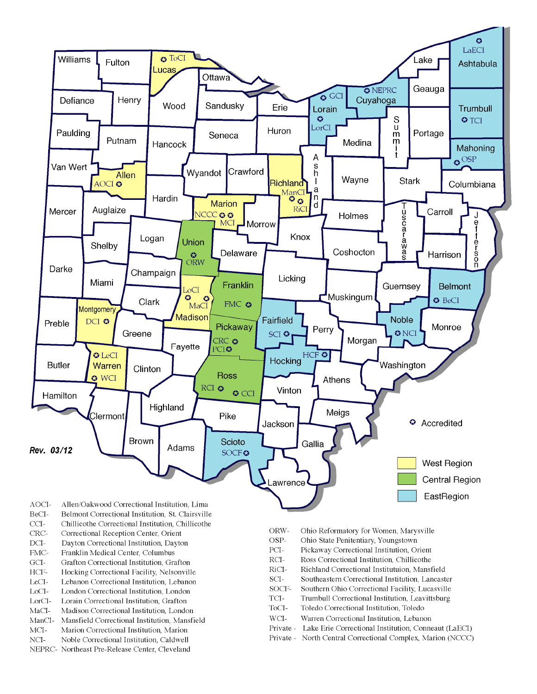

- BeCI-Belmont Correctional Institution, St. Clairsville
- $CCI-$ Chillicothe Correctional Institution, Chillicothe
- Correctional Reception Center, Orient CRC-
- $DCI-$ Dayton Correctional Institution, Dayton
- FMC-Franklin Medical Center, Columbus
- $\rm{GCI}\mbox{-}$ Grafton Correctional Institution, Grafton
- HCF-Hocking Correctional Facility, Nelsonville
- LeCI-Lebanon Correctional Institution, Lebanon
- LoCI-London Correctional Institution. London
- $\operatorname{LorCl-}$ Lorain Correctional Institution, Grafton
- $MaCI-$ Madison Correctional Institution, London
- ManCI-Mansfield Correctional Institution, Mansfield MCI-Marion Correctional Institution, Marion
- Noble Correctional Institution, Caldwell
- NCI-NEPRC- Northeast Pre-Release Center, Cleveland
- ORW-Ohio Reformatory for Women, Marysville
- OSP-Ohio State Penitentiary, Youngstown
- PCI-Pickaway Correctional Institution, Orient
- $\rm RCI-$ Ross Correctional Institution, Chillicothe
- RiCI-Richland Correctional Institutuion, Mansfield
- SCI-Southeastern Correctional Institution, Lancaster
- SOCF-Southern Ohio Correctional Facility, Lucasville
- TCI-Trumbull Correctional Institution, Leavittsburg
- ToCI-Toledo Correctional Institution, Toledo
- $WCI-$ Warren Correctional Institution, Lebanon
- Private Lake Erie Correctional Institution, Conneaut (LaECI)
- Private North Central Correctional Complex, Marion (NCCC)